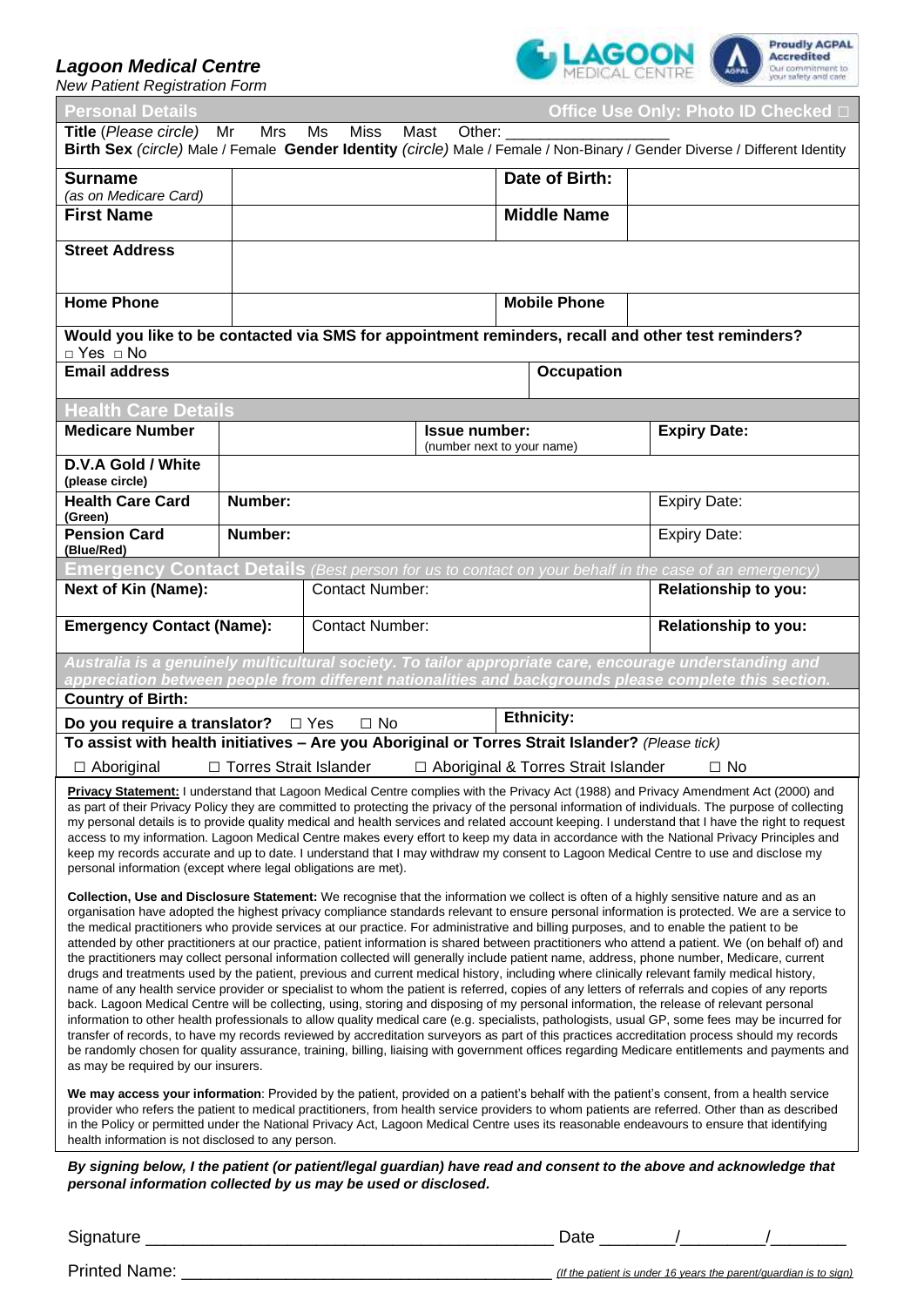## *Lagoon Medical Centre*

*New Patient Registration Form*



| <b>Personal Details</b>                                                                                                                                                                                                                                                                                                                                                                                                                                                                                                                                                                                                                                                                                                                                                                                                                                                                                                                                                                                                                                                                                                                                                                                                                     |                          |                        |                      |                                       | Office Use Only: Photo ID Checked □                                                                                                                                                                               |  |  |  |
|---------------------------------------------------------------------------------------------------------------------------------------------------------------------------------------------------------------------------------------------------------------------------------------------------------------------------------------------------------------------------------------------------------------------------------------------------------------------------------------------------------------------------------------------------------------------------------------------------------------------------------------------------------------------------------------------------------------------------------------------------------------------------------------------------------------------------------------------------------------------------------------------------------------------------------------------------------------------------------------------------------------------------------------------------------------------------------------------------------------------------------------------------------------------------------------------------------------------------------------------|--------------------------|------------------------|----------------------|---------------------------------------|-------------------------------------------------------------------------------------------------------------------------------------------------------------------------------------------------------------------|--|--|--|
| Title (Please circle)<br>Mr<br>Mrs<br>Ms<br>Miss<br>Mast<br>Other:<br>Birth Sex (circle) Male / Female Gender Identity (circle) Male / Female / Non-Binary / Gender Diverse / Different Identity                                                                                                                                                                                                                                                                                                                                                                                                                                                                                                                                                                                                                                                                                                                                                                                                                                                                                                                                                                                                                                            |                          |                        |                      |                                       |                                                                                                                                                                                                                   |  |  |  |
| <b>Surname</b>                                                                                                                                                                                                                                                                                                                                                                                                                                                                                                                                                                                                                                                                                                                                                                                                                                                                                                                                                                                                                                                                                                                                                                                                                              |                          |                        |                      | Date of Birth:                        |                                                                                                                                                                                                                   |  |  |  |
| (as on Medicare Card)                                                                                                                                                                                                                                                                                                                                                                                                                                                                                                                                                                                                                                                                                                                                                                                                                                                                                                                                                                                                                                                                                                                                                                                                                       |                          |                        |                      |                                       |                                                                                                                                                                                                                   |  |  |  |
| <b>First Name</b>                                                                                                                                                                                                                                                                                                                                                                                                                                                                                                                                                                                                                                                                                                                                                                                                                                                                                                                                                                                                                                                                                                                                                                                                                           |                          |                        |                      | <b>Middle Name</b>                    |                                                                                                                                                                                                                   |  |  |  |
| <b>Street Address</b>                                                                                                                                                                                                                                                                                                                                                                                                                                                                                                                                                                                                                                                                                                                                                                                                                                                                                                                                                                                                                                                                                                                                                                                                                       |                          |                        |                      |                                       |                                                                                                                                                                                                                   |  |  |  |
| <b>Home Phone</b>                                                                                                                                                                                                                                                                                                                                                                                                                                                                                                                                                                                                                                                                                                                                                                                                                                                                                                                                                                                                                                                                                                                                                                                                                           |                          |                        |                      | <b>Mobile Phone</b>                   |                                                                                                                                                                                                                   |  |  |  |
| Would you like to be contacted via SMS for appointment reminders, recall and other test reminders?<br>□ Yes □ No                                                                                                                                                                                                                                                                                                                                                                                                                                                                                                                                                                                                                                                                                                                                                                                                                                                                                                                                                                                                                                                                                                                            |                          |                        |                      |                                       |                                                                                                                                                                                                                   |  |  |  |
| <b>Email address</b>                                                                                                                                                                                                                                                                                                                                                                                                                                                                                                                                                                                                                                                                                                                                                                                                                                                                                                                                                                                                                                                                                                                                                                                                                        |                          |                        |                      | <b>Occupation</b>                     |                                                                                                                                                                                                                   |  |  |  |
| <b>Health Care Details</b>                                                                                                                                                                                                                                                                                                                                                                                                                                                                                                                                                                                                                                                                                                                                                                                                                                                                                                                                                                                                                                                                                                                                                                                                                  |                          |                        |                      |                                       |                                                                                                                                                                                                                   |  |  |  |
| <b>Medicare Number</b>                                                                                                                                                                                                                                                                                                                                                                                                                                                                                                                                                                                                                                                                                                                                                                                                                                                                                                                                                                                                                                                                                                                                                                                                                      |                          |                        | <b>Issue number:</b> |                                       | <b>Expiry Date:</b>                                                                                                                                                                                               |  |  |  |
| D.V.A Gold / White                                                                                                                                                                                                                                                                                                                                                                                                                                                                                                                                                                                                                                                                                                                                                                                                                                                                                                                                                                                                                                                                                                                                                                                                                          |                          |                        |                      | (number next to your name)            |                                                                                                                                                                                                                   |  |  |  |
| (please circle)                                                                                                                                                                                                                                                                                                                                                                                                                                                                                                                                                                                                                                                                                                                                                                                                                                                                                                                                                                                                                                                                                                                                                                                                                             |                          |                        |                      |                                       |                                                                                                                                                                                                                   |  |  |  |
| <b>Health Care Card</b><br>(Green)                                                                                                                                                                                                                                                                                                                                                                                                                                                                                                                                                                                                                                                                                                                                                                                                                                                                                                                                                                                                                                                                                                                                                                                                          | Number:                  |                        |                      |                                       | <b>Expiry Date:</b>                                                                                                                                                                                               |  |  |  |
| <b>Pension Card</b><br>(Blue/Red)                                                                                                                                                                                                                                                                                                                                                                                                                                                                                                                                                                                                                                                                                                                                                                                                                                                                                                                                                                                                                                                                                                                                                                                                           | Number:                  |                        |                      |                                       | <b>Expiry Date:</b>                                                                                                                                                                                               |  |  |  |
|                                                                                                                                                                                                                                                                                                                                                                                                                                                                                                                                                                                                                                                                                                                                                                                                                                                                                                                                                                                                                                                                                                                                                                                                                                             |                          |                        |                      |                                       | <b>Emergency Contact Details</b> (Best person for us to contact on your behalf in the case of an emergency)                                                                                                       |  |  |  |
| <b>Next of Kin (Name):</b>                                                                                                                                                                                                                                                                                                                                                                                                                                                                                                                                                                                                                                                                                                                                                                                                                                                                                                                                                                                                                                                                                                                                                                                                                  |                          | <b>Contact Number:</b> |                      |                                       | <b>Relationship to you:</b>                                                                                                                                                                                       |  |  |  |
| <b>Emergency Contact (Name):</b>                                                                                                                                                                                                                                                                                                                                                                                                                                                                                                                                                                                                                                                                                                                                                                                                                                                                                                                                                                                                                                                                                                                                                                                                            |                          | <b>Contact Number:</b> |                      |                                       | <b>Relationship to you:</b>                                                                                                                                                                                       |  |  |  |
| <b>Country of Birth:</b>                                                                                                                                                                                                                                                                                                                                                                                                                                                                                                                                                                                                                                                                                                                                                                                                                                                                                                                                                                                                                                                                                                                                                                                                                    |                          |                        |                      |                                       | Australia is a genuinely multicultural society. To tailor appropriate care, encourage understanding and<br>appreciation between people from different nationalities and backgrounds please complete this section. |  |  |  |
| Do you require a translator? $\Box$ Yes                                                                                                                                                                                                                                                                                                                                                                                                                                                                                                                                                                                                                                                                                                                                                                                                                                                                                                                                                                                                                                                                                                                                                                                                     |                          | $\Box$ No              |                      | <b>Ethnicity:</b>                     |                                                                                                                                                                                                                   |  |  |  |
| To assist with health initiatives - Are you Aboriginal or Torres Strait Islander? (Please tick)                                                                                                                                                                                                                                                                                                                                                                                                                                                                                                                                                                                                                                                                                                                                                                                                                                                                                                                                                                                                                                                                                                                                             |                          |                        |                      |                                       |                                                                                                                                                                                                                   |  |  |  |
| $\Box$ Aboriginal                                                                                                                                                                                                                                                                                                                                                                                                                                                                                                                                                                                                                                                                                                                                                                                                                                                                                                                                                                                                                                                                                                                                                                                                                           | □ Torres Strait Islander |                        |                      | □ Aboriginal & Torres Strait Islander | $\Box$ No                                                                                                                                                                                                         |  |  |  |
| Privacy Statement: I understand that Lagoon Medical Centre complies with the Privacy Act (1988) and Privacy Amendment Act (2000) and<br>as part of their Privacy Policy they are committed to protecting the privacy of the personal information of individuals. The purpose of collecting<br>my personal details is to provide quality medical and health services and related account keeping. I understand that I have the right to request<br>access to my information. Lagoon Medical Centre makes every effort to keep my data in accordance with the National Privacy Principles and<br>keep my records accurate and up to date. I understand that I may withdraw my consent to Lagoon Medical Centre to use and disclose my<br>personal information (except where legal obligations are met).<br>Collection, Use and Disclosure Statement: We recognise that the information we collect is often of a highly sensitive nature and as an<br>organisation have adopted the highest privacy compliance standards relevant to ensure personal information is protected. We are a service to<br>the medical practitioners who provide services at our practice. For administrative and billing purposes, and to enable the patient to be |                          |                        |                      |                                       |                                                                                                                                                                                                                   |  |  |  |
| attended by other practitioners at our practice, patient information is shared between practitioners who attend a patient. We (on behalf of) and<br>the practitioners may collect personal information collected will generally include patient name, address, phone number, Medicare, current<br>drugs and treatments used by the patient, previous and current medical history, including where clinically relevant family medical history,<br>name of any health service provider or specialist to whom the patient is referred, copies of any letters of referrals and copies of any reports<br>back. Lagoon Medical Centre will be collecting, using, storing and disposing of my personal information, the release of relevant personal<br>information to other health professionals to allow quality medical care (e.g. specialists, pathologists, usual GP, some fees may be incurred for<br>transfer of records, to have my records reviewed by accreditation surveyors as part of this practices accreditation process should my records<br>be randomly chosen for quality assurance, training, billing, liaising with government offices regarding Medicare entitlements and payments and<br>as may be required by our insurers. |                          |                        |                      |                                       |                                                                                                                                                                                                                   |  |  |  |
| We may access your information: Provided by the patient, provided on a patient's behalf with the patient's consent, from a health service<br>provider who refers the patient to medical practitioners, from health service providers to whom patients are referred. Other than as described<br>in the Policy or permitted under the National Privacy Act, Lagoon Medical Centre uses its reasonable endeavours to ensure that identifying<br>health information is not disclosed to any person.                                                                                                                                                                                                                                                                                                                                                                                                                                                                                                                                                                                                                                                                                                                                             |                          |                        |                      |                                       |                                                                                                                                                                                                                   |  |  |  |
| By signing below, I the patient (or patient/legal guardian) have read and consent to the above and acknowledge that<br>personal information collected by us may be used or disclosed.                                                                                                                                                                                                                                                                                                                                                                                                                                                                                                                                                                                                                                                                                                                                                                                                                                                                                                                                                                                                                                                       |                          |                        |                      |                                       |                                                                                                                                                                                                                   |  |  |  |

Signature \_\_\_\_\_\_\_\_\_\_\_\_\_\_\_\_\_\_\_\_\_\_\_\_\_\_\_\_\_\_\_\_\_\_\_\_\_\_\_\_\_\_\_ Date \_\_\_\_\_\_\_\_/\_\_\_\_\_\_\_\_\_/\_\_\_\_\_\_\_\_

| <b>Printed Name:</b> |  |
|----------------------|--|
|----------------------|--|

Printed Name: \_\_\_\_\_\_\_\_\_\_\_\_\_\_\_\_\_\_\_\_\_\_\_\_\_\_\_\_\_\_\_\_\_\_\_\_\_\_\_ *(If the patient is under 16 years the parent/guardian is to sign)*